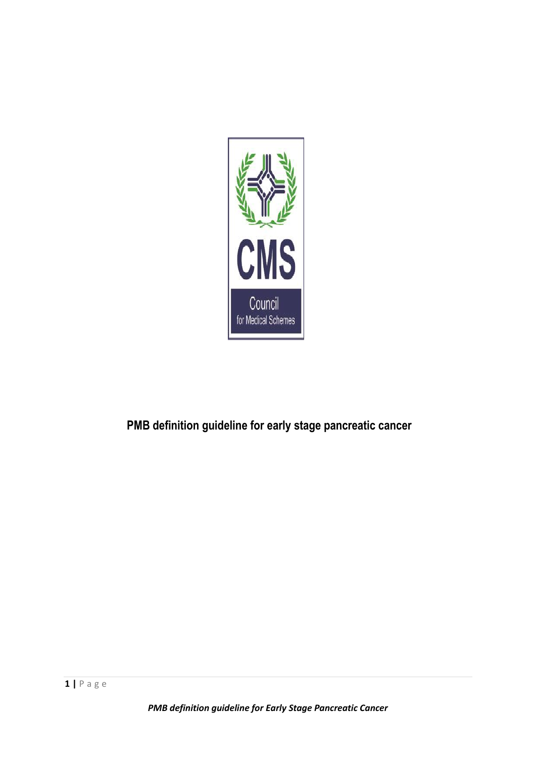

# **PMB definition guideline for early stage pancreatic cancer**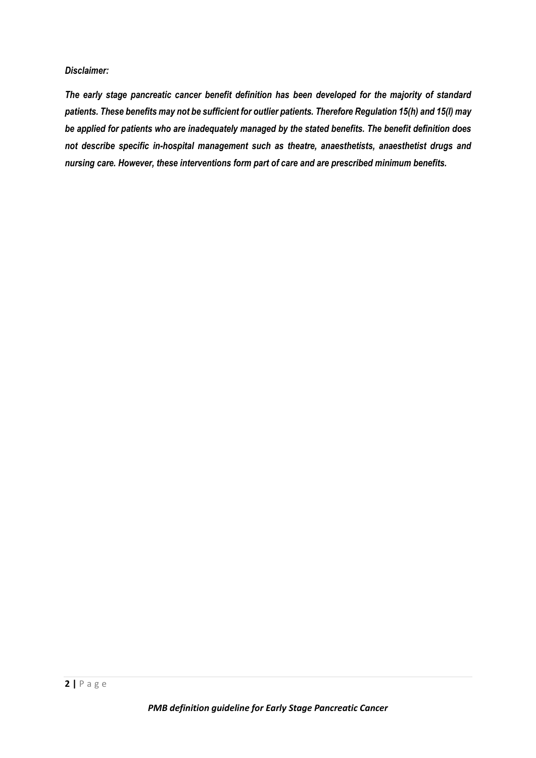#### *Disclaimer:*

*The early stage pancreatic cancer benefit definition has been developed for the majority of standard patients. These benefits may not be sufficient for outlier patients. Therefore Regulation 15(h) and 15(I) may be applied for patients who are inadequately managed by the stated benefits. The benefit definition does not describe specific in-hospital management such as theatre, anaesthetists, anaesthetist drugs and nursing care. However, these interventions form part of care and are prescribed minimum benefits.*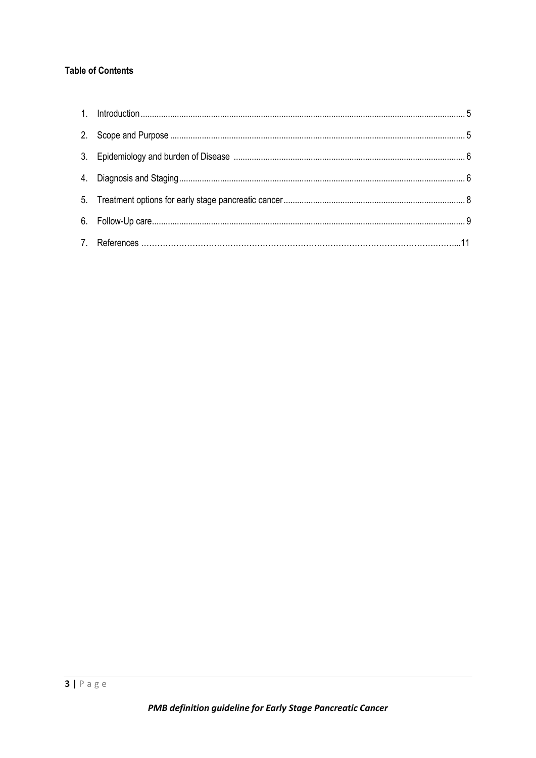# **Table of Contents**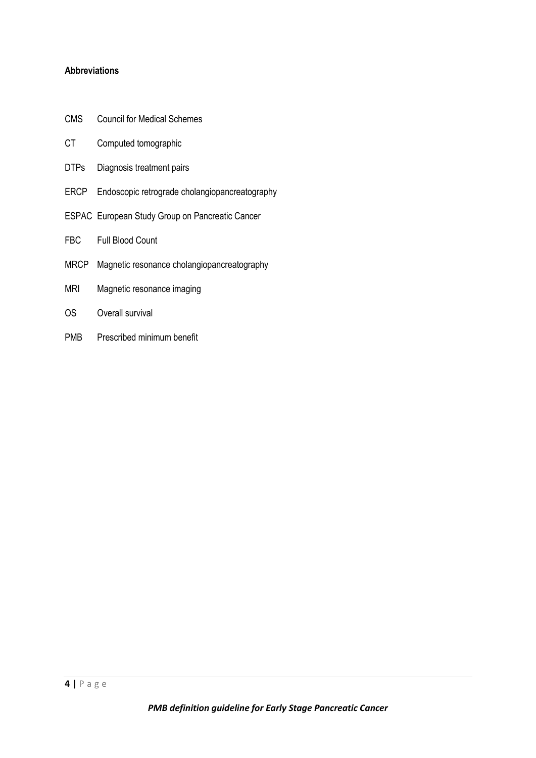# **Abbreviations**

- CMS Council for Medical Schemes
- CT Computed tomographic
- DTPs Diagnosis treatment pairs
- ERCP Endoscopic retrograde cholangiopancreatography
- ESPAC European Study Group on Pancreatic Cancer
- FBC Full Blood Count
- MRCP Magnetic resonance cholangiopancreatography
- MRI Magnetic resonance imaging
- OS Overall survival
- PMB Prescribed minimum benefit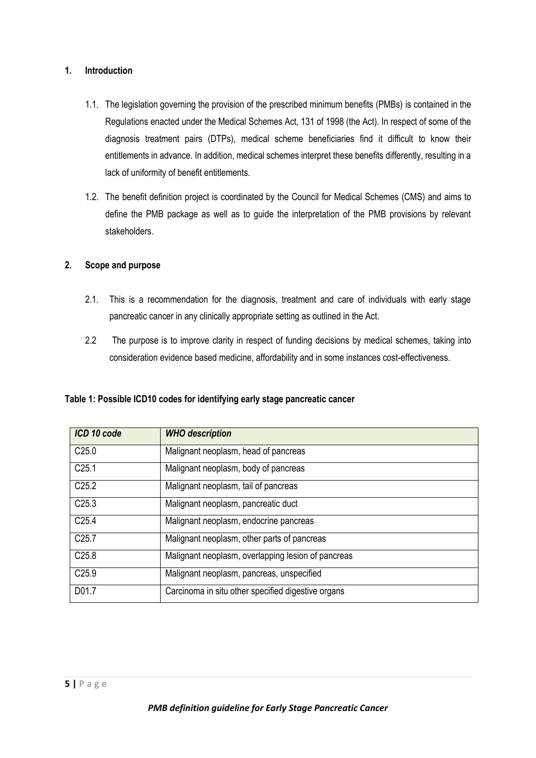# **1. Introduction**

- 1.1. The legislation governing the provision of the prescribed minimum benefits (PMBs) is contained in the Regulations enacted under the Medical Schemes Act, 131 of 1998 (the Act). In respect of some of the diagnosis treatment pairs (DTPs), medical scheme beneficiaries find it difficult to know their entitlements in advance. In addition, medical schemes interpret these benefits differently, resulting in a lack of uniformity of benefit entitlements.
- 1.2. The benefit definition project is coordinated by the Council for Medical Schemes (CMS) and aims to define the PMB package as well as to guide the interpretation of the PMB provisions by relevant stakeholders.

# **2. Scope and purpose**

- 2.1. This is a recommendation for the diagnosis, treatment and care of individuals with early stage pancreatic cancer in any clinically appropriate setting as outlined in the Act.
- 2.2 The purpose is to improve clarity in respect of funding decisions by medical schemes, taking into consideration evidence based medicine, affordability and in some instances cost-effectiveness.

**Table 1: Possible ICD10 codes for identifying early stage pancreatic cancer** 

| ICD 10 code       | <b>WHO</b> description                             |
|-------------------|----------------------------------------------------|
| C <sub>25.0</sub> | Malignant neoplasm, head of pancreas               |
| C <sub>25.1</sub> | Malignant neoplasm, body of pancreas               |
| C <sub>25.2</sub> | Malignant neoplasm, tail of pancreas               |
| C <sub>25.3</sub> | Malignant neoplasm, pancreatic duct                |
| C <sub>25.4</sub> | Malignant neoplasm, endocrine pancreas             |
| C <sub>25.7</sub> | Malignant neoplasm, other parts of pancreas        |
| C <sub>25.8</sub> | Malignant neoplasm, overlapping lesion of pancreas |
| C <sub>25.9</sub> | Malignant neoplasm, pancreas, unspecified          |
| D01.7             | Carcinoma in situ other specified digestive organs |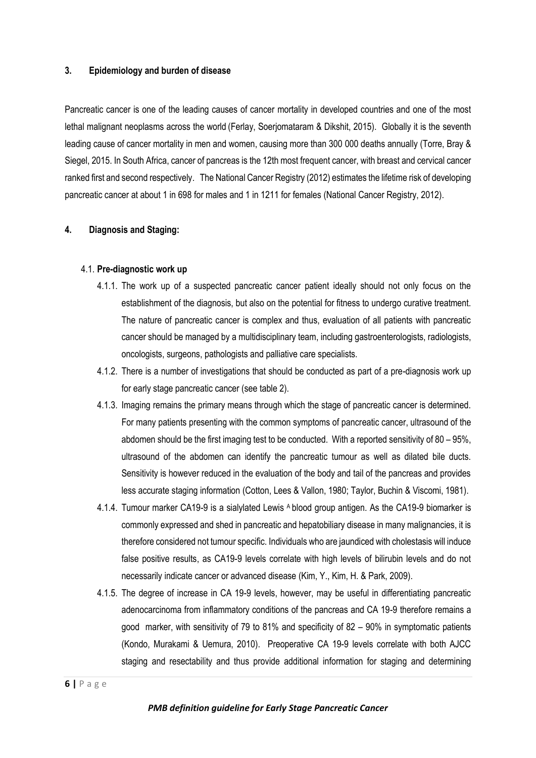#### **3. Epidemiology and burden of disease**

Pancreatic cancer is one of the leading causes of cancer mortality in developed countries and one of the most lethal malignant neoplasms across the world (Ferlay, Soerjomataram & Dikshit, 2015). Globally it is the seventh leading cause of cancer mortality in men and women, causing more than 300 000 deaths annually (Torre, Bray & Siegel, 2015. In South Africa, cancer of pancreas is the 12th most frequent cancer, with breast and cervical cancer ranked first and second respectively. The National Cancer Registry (2012) estimates the lifetime risk of developing pancreatic cancer at about 1 in 698 for males and 1 in 1211 for females (National Cancer Registry, 2012).

#### **4. Diagnosis and Staging:**

#### 4.1. **Pre-diagnostic work up**

- 4.1.1. The work up of a suspected pancreatic cancer patient ideally should not only focus on the establishment of the diagnosis, but also on the potential for fitness to undergo curative treatment. The nature of pancreatic cancer is complex and thus, evaluation of all patients with pancreatic cancer should be managed by a multidisciplinary team, including gastroenterologists, radiologists, oncologists, surgeons, pathologists and palliative care specialists.
- 4.1.2. There is a number of investigations that should be conducted as part of a pre-diagnosis work up for early stage pancreatic cancer (see table 2).
- 4.1.3. Imaging remains the primary means through which the stage of pancreatic cancer is determined. For many patients presenting with the common symptoms of pancreatic cancer, ultrasound of the abdomen should be the first imaging test to be conducted. With a reported sensitivity of 80 – 95%, ultrasound of the abdomen can identify the pancreatic tumour as well as dilated bile ducts. Sensitivity is however reduced in the evaluation of the body and tail of the pancreas and provides less accurate staging information (Cotton, Lees & Vallon, 1980; Taylor, Buchin & Viscomi, 1981).
- 4.1.4. Tumour marker CA19-9 is a sialylated Lewis A blood group antigen. As the CA19-9 biomarker is commonly expressed and shed in pancreatic and hepatobiliary disease in many malignancies, it is therefore considered not tumour specific. Individuals who are jaundiced with cholestasis will induce false positive results, as CA19-9 levels correlate with high levels of bilirubin levels and do not necessarily indicate cancer or advanced disease (Kim, Y., Kim, H. & Park, 2009).
- 4.1.5. The degree of increase in CA 19-9 levels, however, may be useful in differentiating pancreatic adenocarcinoma from inflammatory conditions of the pancreas and CA 19-9 therefore remains a good marker, with sensitivity of 79 to 81% and specificity of 82 – 90% in symptomatic patients (Kondo, Murakami & Uemura, 2010). Preoperative CA 19-9 levels correlate with both AJCC staging and resectability and thus provide additional information for staging and determining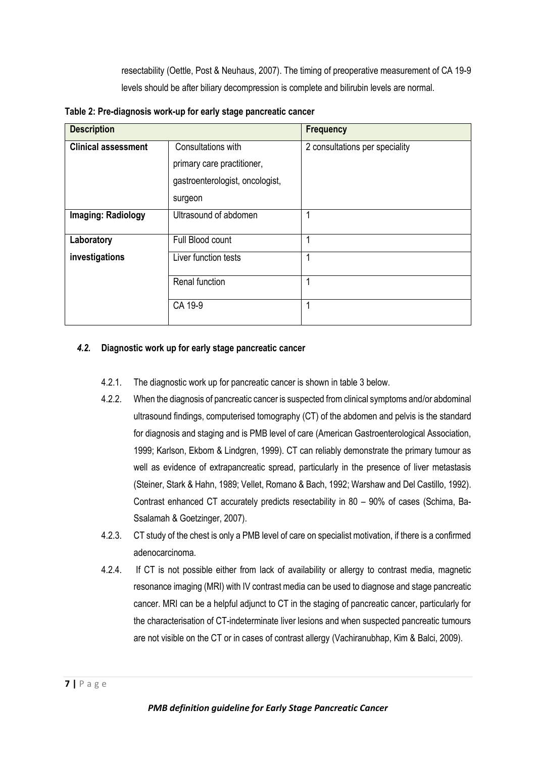resectability (Oettle, Post & Neuhaus, 2007). The timing of preoperative measurement of CA 19-9 levels should be after biliary decompression is complete and bilirubin levels are normal.

| <b>Description</b>         |                                 | <b>Frequency</b>               |  |
|----------------------------|---------------------------------|--------------------------------|--|
| <b>Clinical assessment</b> | Consultations with              | 2 consultations per speciality |  |
|                            | primary care practitioner,      |                                |  |
|                            | gastroenterologist, oncologist, |                                |  |
|                            | surgeon                         |                                |  |
| Imaging: Radiology         | Ultrasound of abdomen           | 1                              |  |
| Laboratory                 | Full Blood count                | 4                              |  |
| investigations             | Liver function tests            | 1                              |  |
|                            | Renal function                  | 1                              |  |
|                            | CA 19-9                         | 1                              |  |

**Table 2: Pre-diagnosis work-up for early stage pancreatic cancer** 

# *4.2.* **Diagnostic work up for early stage pancreatic cancer**

- 4.2.1. The diagnostic work up for pancreatic cancer is shown in table 3 below.
- 4.2.2. When the diagnosis of pancreatic cancer is suspected from clinical symptoms and/or abdominal ultrasound findings, computerised tomography (CT) of the abdomen and pelvis is the standard for diagnosis and staging and is PMB level of care (American Gastroenterological Association, 1999; Karlson, Ekbom & Lindgren, 1999). CT can reliably demonstrate the primary tumour as well as evidence of extrapancreatic spread, particularly in the presence of liver metastasis (Steiner, Stark & Hahn, 1989; Vellet, Romano & Bach, 1992; Warshaw and Del Castillo, 1992). Contrast enhanced CT accurately predicts resectability in 80 – 90% of cases (Schima, Ba-Ssalamah & Goetzinger, 2007).
- 4.2.3. CT study of the chest is only a PMB level of care on specialist motivation, if there is a confirmed adenocarcinoma.
- 4.2.4. If CT is not possible either from lack of availability or allergy to contrast media, magnetic resonance imaging (MRI) with IV contrast media can be used to diagnose and stage pancreatic cancer. MRI can be a helpful adjunct to CT in the staging of pancreatic cancer, particularly for the characterisation of CT-indeterminate liver lesions and when suspected pancreatic tumours are not visible on the CT or in cases of contrast allergy (Vachiranubhap, Kim & Balci, 2009).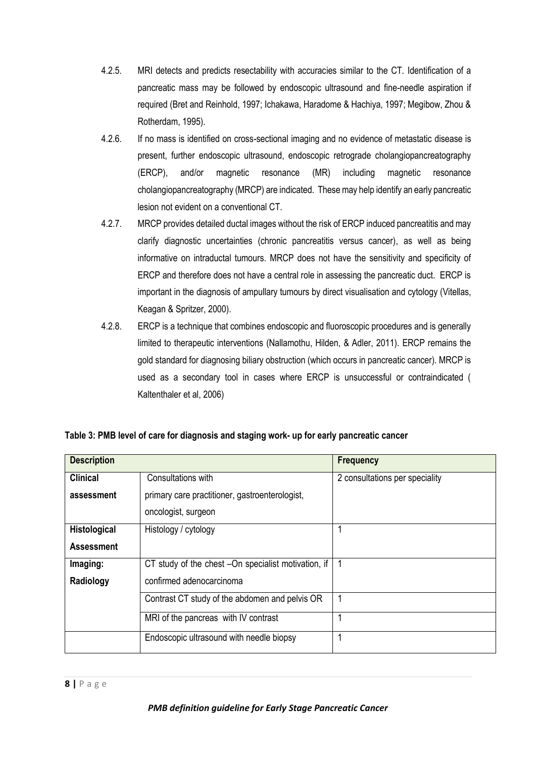- 4.2.5. MRI detects and predicts resectability with accuracies similar to the CT. Identification of a pancreatic mass may be followed by endoscopic ultrasound and fine-needle aspiration if required (Bret and Reinhold, 1997; Ichakawa, Haradome & Hachiya, 1997; Megibow, Zhou & Rotherdam, 1995).
- 4.2.6. If no mass is identified on cross-sectional imaging and no evidence of metastatic disease is present, further endoscopic ultrasound, endoscopic retrograde cholangiopancreatography (ERCP), and/or magnetic resonance (MR) including magnetic resonance cholangiopancreatography (MRCP) are indicated. These may help identify an early pancreatic lesion not evident on a conventional CT.
- 4.2.7. MRCP provides detailed ductal images without the risk of ERCP induced pancreatitis and may clarify diagnostic uncertainties (chronic pancreatitis versus cancer), as well as being informative on intraductal tumours. MRCP does not have the sensitivity and specificity of ERCP and therefore does not have a central role in assessing the pancreatic duct. ERCP is important in the diagnosis of ampullary tumours by direct visualisation and cytology (Vitellas, Keagan & Spritzer, 2000).
- 4.2.8. ERCP is a technique that combines endoscopic and fluoroscopic procedures and is generally limited to therapeutic interventions (Nallamothu, Hilden, & Adler, 2011). ERCP remains the gold standard for diagnosing biliary obstruction (which occurs in pancreatic cancer). MRCP is used as a secondary tool in cases where ERCP is unsuccessful or contraindicated ( Kaltenthaler et al, 2006)

|  | Table 3: PMB level of care for diagnosis and staging work- up for early pancreatic cancer |  |
|--|-------------------------------------------------------------------------------------------|--|
|--|-------------------------------------------------------------------------------------------|--|

| <b>Description</b> |                                                     | <b>Frequency</b>               |
|--------------------|-----------------------------------------------------|--------------------------------|
| <b>Clinical</b>    | Consultations with                                  | 2 consultations per speciality |
| assessment         | primary care practitioner, gastroenterologist,      |                                |
|                    | oncologist, surgeon                                 |                                |
| Histological       | Histology / cytology                                |                                |
| <b>Assessment</b>  |                                                     |                                |
| Imaging:           | CT study of the chest -On specialist motivation, if |                                |
| Radiology          | confirmed adenocarcinoma                            |                                |
|                    | Contrast CT study of the abdomen and pelvis OR      | 1                              |
|                    | MRI of the pancreas with IV contrast                |                                |
|                    | Endoscopic ultrasound with needle biopsy            |                                |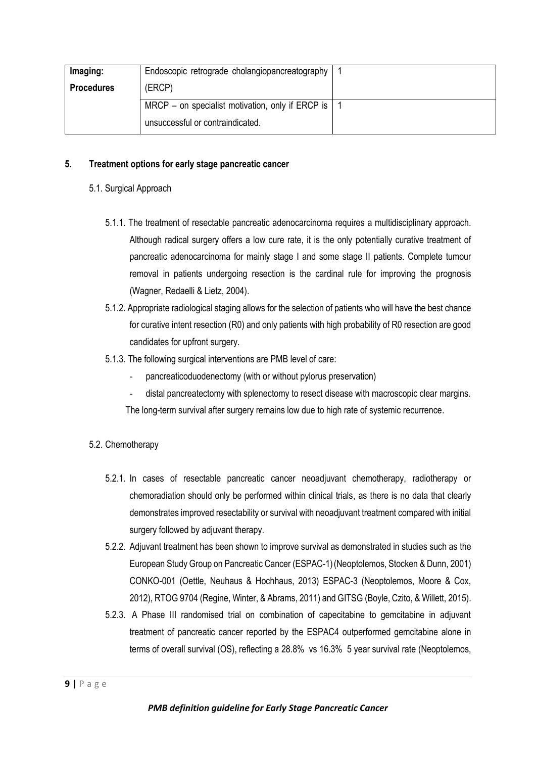| Imaging:          | Endoscopic retrograde cholangiopancreatography       |  |
|-------------------|------------------------------------------------------|--|
| <b>Procedures</b> | (ERCP)                                               |  |
|                   | MRCP – on specialist motivation, only if ERCP is $ $ |  |
|                   | unsuccessful or contraindicated.                     |  |

#### **5. Treatment options for early stage pancreatic cancer**

#### 5.1. Surgical Approach

- 5.1.1. The treatment of resectable pancreatic adenocarcinoma requires a multidisciplinary approach. Although radical surgery offers a low cure rate, it is the only potentially curative treatment of pancreatic adenocarcinoma for mainly stage I and some stage II patients. Complete tumour removal in patients undergoing resection is the cardinal rule for improving the prognosis (Wagner, Redaelli & Lietz, 2004).
- 5.1.2. Appropriate radiological staging allows for the selection of patients who will have the best chance for curative intent resection (R0) and only patients with high probability of R0 resection are good candidates for upfront surgery.
- 5.1.3. The following surgical interventions are PMB level of care:
	- pancreaticoduodenectomy (with or without pylorus preservation)
	- distal pancreatectomy with splenectomy to resect disease with macroscopic clear margins. The long-term survival after surgery remains low due to high rate of systemic recurrence.
- 5.2. Chemotherapy
	- 5.2.1. In cases of resectable pancreatic cancer neoadjuvant chemotherapy, radiotherapy or chemoradiation should only be performed within clinical trials, as there is no data that clearly demonstrates improved resectability or survival with neoadjuvant treatment compared with initial surgery followed by adjuvant therapy.
	- 5.2.2. Adjuvant treatment has been shown to improve survival as demonstrated in studies such as the European Study Group on Pancreatic Cancer (ESPAC-1)(Neoptolemos, Stocken & Dunn, 2001) CONKO-001 (Oettle, Neuhaus & Hochhaus, 2013) ESPAC-3 (Neoptolemos, Moore & Cox, 2012), RTOG 9704 (Regine, Winter, & Abrams, 2011) and GITSG (Boyle, Czito, & Willett, 2015).
	- 5.2.3. A Phase III randomised trial on combination of capecitabine to gemcitabine in adjuvant treatment of pancreatic cancer reported by the ESPAC4 outperformed gemcitabine alone in terms of overall survival (OS), reflecting a 28.8% vs 16.3% 5 year survival rate (Neoptolemos,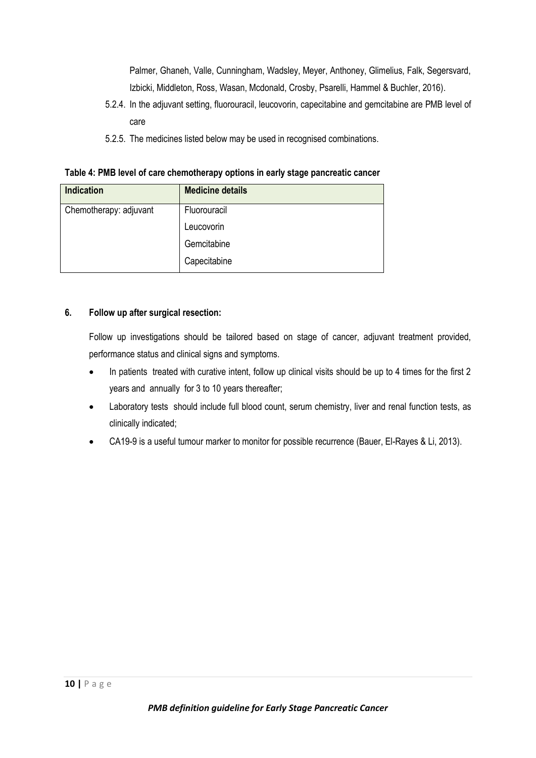Palmer, Ghaneh, Valle, Cunningham, Wadsley, Meyer, Anthoney, Glimelius, Falk, Segersvard, Izbicki, Middleton, Ross, Wasan, Mcdonald, Crosby, Psarelli, Hammel & Buchler, 2016).

- 5.2.4. In the adjuvant setting, fluorouracil, leucovorin, capecitabine and gemcitabine are PMB level of care
- 5.2.5. The medicines listed below may be used in recognised combinations.

|  |  |  | Table 4: PMB level of care chemotherapy options in early stage pancreatic cancer |
|--|--|--|----------------------------------------------------------------------------------|
|  |  |  |                                                                                  |

| <b>Indication</b>      | <b>Medicine details</b> |
|------------------------|-------------------------|
| Chemotherapy: adjuvant | Fluorouracil            |
|                        | Leucovorin              |
|                        | Gemcitabine             |
|                        | Capecitabine            |

# **6. Follow up after surgical resection:**

Follow up investigations should be tailored based on stage of cancer, adjuvant treatment provided, performance status and clinical signs and symptoms.

- In patients treated with curative intent, follow up clinical visits should be up to 4 times for the first 2 years and annually for 3 to 10 years thereafter;
- Laboratory tests should include full blood count, serum chemistry, liver and renal function tests, as clinically indicated;
- CA19-9 is a useful tumour marker to monitor for possible recurrence (Bauer, El-Rayes & Li, 2013).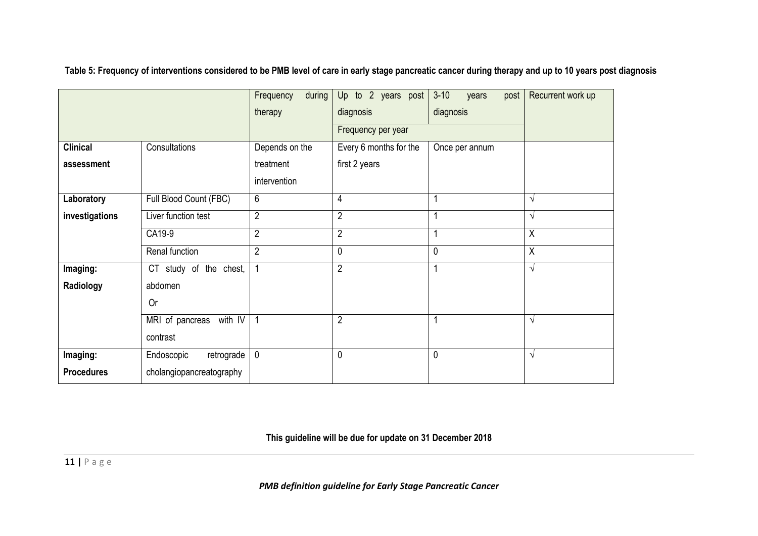**Table 5: Frequency of interventions considered to be PMB level of care in early stage pancreatic cancer during therapy and up to 10 years post diagnosis**

|                   |                            | during<br>Frequency<br>therapy | Up to 2 years post<br>diagnosis | $3 - 10$<br>post<br>years<br>diagnosis | Recurrent work up |
|-------------------|----------------------------|--------------------------------|---------------------------------|----------------------------------------|-------------------|
|                   |                            |                                | Frequency per year              |                                        |                   |
| <b>Clinical</b>   | Consultations              | Depends on the                 | Every 6 months for the          | Once per annum                         |                   |
| assessment        |                            | treatment                      | first 2 years                   |                                        |                   |
|                   |                            | intervention                   |                                 |                                        |                   |
| Laboratory        | Full Blood Count (FBC)     | 6                              | 4                               |                                        | V                 |
| investigations    | Liver function test        | $\overline{2}$                 | $\overline{2}$                  | 1                                      | $\sqrt{ }$        |
|                   | CA19-9                     | $\overline{2}$                 | $\overline{2}$                  |                                        | $\sf X$           |
|                   | Renal function             | $\overline{2}$                 | 0                               | 0                                      | $\sf X$           |
| Imaging:          | CT study of the chest,     | $\mathbf{1}$                   | $\overline{2}$                  |                                        | $\sqrt{ }$        |
| Radiology         | abdomen                    |                                |                                 |                                        |                   |
|                   | <b>Or</b>                  |                                |                                 |                                        |                   |
|                   | with IV<br>MRI of pancreas | 1                              | $\overline{2}$                  |                                        | $\sqrt{ }$        |
|                   | contrast                   |                                |                                 |                                        |                   |
| Imaging:          | Endoscopic<br>retrograde   | $\mathbf 0$                    | 0                               | 0                                      | $\sqrt{ }$        |
| <b>Procedures</b> | cholangiopancreatography   |                                |                                 |                                        |                   |

**This guideline will be due for update on 31 December 2018**

**11 |** P a g e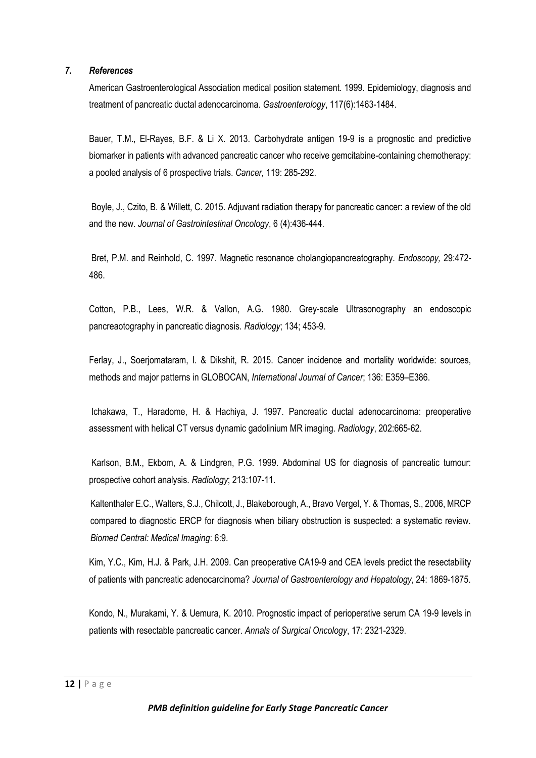#### *7. References*

American Gastroenterological Association medical position statement. 1999. Epidemiology, diagnosis and treatment of pancreatic ductal adenocarcinoma. *Gastroenterology*, 117(6):1463-1484.

Bauer, T.M., El-Rayes, B.F. & Li X. 2013. Carbohydrate antigen 19-9 is a prognostic and predictive biomarker in patients with advanced pancreatic cancer who receive gemcitabine-containing chemotherapy: a pooled analysis of 6 prospective trials. *Cancer,* 119: 285-292.

Boyle, J., Czito, B. & Willett, C. 2015. Adjuvant radiation therapy for pancreatic cancer: a review of the old and the new. *Journal of Gastrointestinal Oncology*, 6 (4):436-444.

Bret, P.M. and Reinhold, C. 1997. Magnetic resonance cholangiopancreatography. *Endoscopy,* 29:472- 486.

Cotton, P.B., Lees, W.R. & Vallon, A.G. 1980. Grey-scale Ultrasonography an endoscopic pancreaotography in pancreatic diagnosis. *Radiology*; 134; 453-9.

Ferlay, J., Soerjomataram, I. & Dikshit, R. 2015. Cancer incidence and mortality worldwide: sources, methods and major patterns in GLOBOCAN, *International Journal of Cancer*; 136: E359–E386.

Ichakawa, T., Haradome, H. & Hachiya, J. 1997. Pancreatic ductal adenocarcinoma: preoperative assessment with helical CT versus dynamic gadolinium MR imaging. *Radiology*, 202:665-62.

Karlson, B.M., Ekbom, A. & Lindgren, P.G. 1999. Abdominal US for diagnosis of pancreatic tumour: prospective cohort analysis. *Radiology*; 213:107-11.

Kaltenthaler E.C., Walters, S.J., Chilcott, J., Blakeborough, A., Bravo Vergel, Y. & Thomas, S., 2006, MRCP compared to diagnostic ERCP for diagnosis when biliary obstruction is suspected: a systematic review. *Biomed Central: Medical Imaging*: 6:9.

Kim, Y.C., Kim, H.J. & Park, J.H. 2009. Can preoperative CA19-9 and CEA levels predict the resectability of patients with pancreatic adenocarcinoma? *Journal of Gastroenterology and Hepatology*, 24: 1869-1875.

Kondo, N., Murakami, Y. & Uemura, K. 2010. Prognostic impact of perioperative serum CA 19-9 levels in patients with resectable pancreatic cancer. *Annals of Surgical Oncology*, 17: 2321-2329.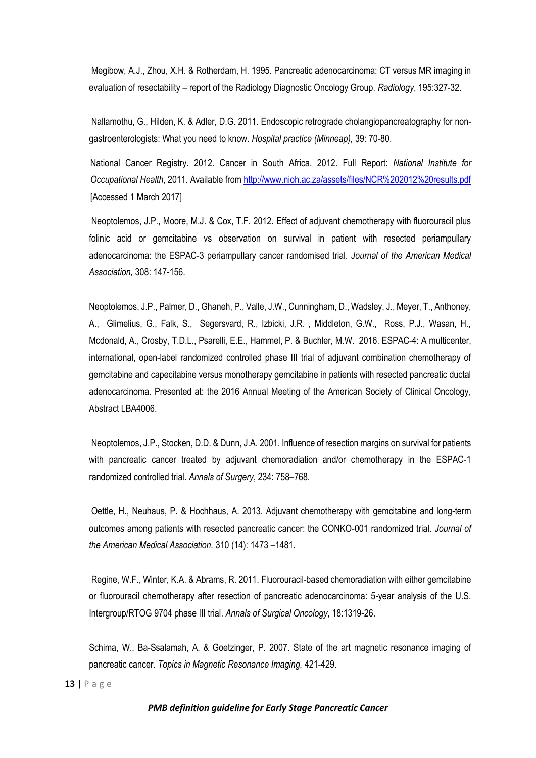Megibow, A.J., Zhou, X.H. & Rotherdam, H. 1995. Pancreatic adenocarcinoma: CT versus MR imaging in evaluation of resectability – report of the Radiology Diagnostic Oncology Group. *Radiology*, 195:327-32.

Nallamothu, G., Hilden, K. & Adler, D.G. 2011. Endoscopic retrograde cholangiopancreatography for nongastroenterologists: What you need to know. *Hospital practice (Minneap),* 39: 70-80.

National Cancer Registry. 2012. Cancer in South Africa. 2012. Full Report: *National Institute for Occupational Health*, 2011. Available fro[m http://www.nioh.ac.za/assets/files/NCR%202012%20results.pdf](http://www.nioh.ac.za/assets/files/NCR%202012%20results.pdf) [Accessed 1 March 2017]

Neoptolemos, J.P., Moore, M.J. & Cox, T.F. 2012. Effect of adjuvant chemotherapy with fluorouracil plus folinic acid or gemcitabine vs observation on survival in patient with resected periampullary adenocarcinoma: the ESPAC-3 periampullary cancer randomised trial. *Journal of the American Medical Association,* 308: 147-156.

Neoptolemos, J.P., Palmer, D., Ghaneh, P., Valle, J.W., Cunningham, D., Wadsley, J., Meyer, T., Anthoney, A., Glimelius, G., Falk, S., Segersvard, R., Izbicki, J.R. , Middleton, G.W., Ross, P.J., Wasan, H., Mcdonald, A., Crosby, T.D.L., Psarelli, E.E., Hammel, P. & Buchler, M.W. 2016. ESPAC-4: A multicenter, international, open-label randomized controlled phase III trial of adjuvant combination chemotherapy of gemcitabine and capecitabine versus monotherapy gemcitabine in patients with resected pancreatic ductal adenocarcinoma. Presented at: the 2016 Annual Meeting of the American Society of Clinical Oncology, Abstract LBA4006.

Neoptolemos, J.P., Stocken, D.D. & Dunn, J.A. 2001. Influence of resection margins on survival for patients with pancreatic cancer treated by adjuvant chemoradiation and/or chemotherapy in the ESPAC-1 randomized controlled trial. *Annals of Surgery*, 234: 758–768.

Oettle, H., Neuhaus, P. & Hochhaus, A. 2013. Adjuvant chemotherapy with gemcitabine and long-term outcomes among patients with resected pancreatic cancer: the CONKO-001 randomized trial. *Journal of the American Medical Association.* 310 (14): 1473 –1481.

Regine, W.F., Winter, K.A. & Abrams, R. 2011. Fluorouracil-based chemoradiation with either gemcitabine or fluorouracil chemotherapy after resection of pancreatic adenocarcinoma: 5-year analysis of the U.S. Intergroup/RTOG 9704 phase III trial. *Annals of Surgical Oncology*, 18:1319-26.

Schima, W., Ba-Ssalamah, A. & Goetzinger, P. 2007. State of the art magnetic resonance imaging of pancreatic cancer. *Topics in Magnetic Resonance Imaging,* 421-429.